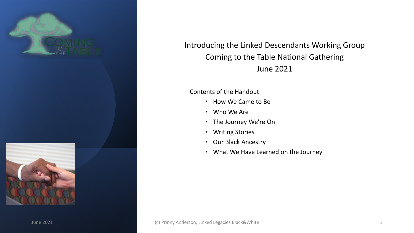



Introducing the Linked Descendants Working Group Coming to the Table National Gathering June 2021

# Contents of the Handout

- How We Came to Be
- Who We Are
- The Journey We're On
- Writing Stories
- Our Black Ancestry
- What We Have Learned on the Journey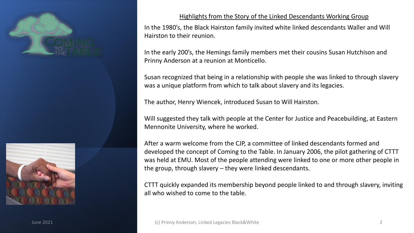



# Highlights from the Story of the Linked Descendants Working Group

In the 1980's, the Black Hairston family invited white linked descendants Waller and Will Hairston to their reunion.

In the early 200's, the Hemings family members met their cousins Susan Hutchison and Prinny Anderson at a reunion at Monticello.

Susan recognized that being in a relationship with people she was linked to through slavery was a unique platform from which to talk about slavery and its legacies.

The author, Henry Wiencek, introduced Susan to Will Hairston.

Will suggested they talk with people at the Center for Justice and Peacebuilding, at Eastern Mennonite University, where he worked.

After a warm welcome from the CJP, a committee of linked descendants formed and developed the concept of Coming to the Table. In January 2006, the pilot gathering of CTTT was held at EMU. Most of the people attending were linked to one or more other people in the group, through slavery – they were linked descendants.

CTTT quickly expanded its membership beyond people linked to and through slavery, inviting all who wished to come to the table.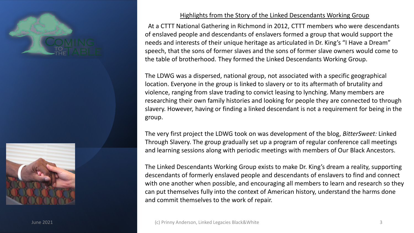



# Highlights from the Story of the Linked Descendants Working Group

At a CTTT National Gathering in Richmond in 2012, CTTT members who were descendants of enslaved people and descendants of enslavers formed a group that would support the needs and interests of their unique heritage as articulated in Dr. King's "I Have a Dream" speech, that the sons of former slaves and the sons of former slave owners would come to the table of brotherhood. They formed the Linked Descendants Working Group.

The LDWG was a dispersed, national group, not associated with a specific geographical location. Everyone in the group is linked to slavery or to its aftermath of brutality and violence, ranging from slave trading to convict leasing to lynching. Many members are researching their own family histories and looking for people they are connected to through slavery. However, having or finding a linked descendant is not a requirement for being in the group.

The very first project the LDWG took on was development of the blog, *BitterSweet:* Linked Through Slavery. The group gradually set up a program of regular conference call meetings and learning sessions along with periodic meetings with members of Our Black Ancestors.

The Linked Descendants Working Group exists to make Dr. King's dream a reality, supporting descendants of formerly enslaved people and descendants of enslavers to find and connect with one another when possible, and encouraging all members to learn and research so they can put themselves fully into the context of American history, understand the harms done and commit themselves to the work of repair.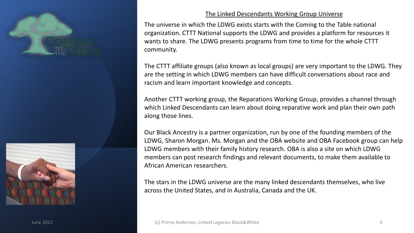



# The Linked Descendants Working Group Universe

The universe in which the LDWG exists starts with the Coming to the Table national organization. CTTT National supports the LDWG and provides a platform for resources it wants to share. The LDWG presents programs from time to time for the whole CTTT community.

The CTTT affiliate groups (also known as local groups) are very important to the LDWG. They are the setting in which LDWG members can have difficult conversations about race and racism and learn important knowledge and concepts.

Another CTTT working group, the Reparations Working Group, provides a channel through which Linked Descendants can learn about doing reparative work and plan their own path along those lines.

Our Black Ancestry is a partner organization, run by one of the founding members of the LDWG, Sharon Morgan. Ms. Morgan and the OBA website and OBA Facebook group can help LDWG members with their family history research. OBA is also a site on which LDWG members can post research findings and relevant documents, to make them available to African American researchers.

The stars in the LDWG universe are the many linked descendants themselves, who live across the United States, and in Australia, Canada and the UK.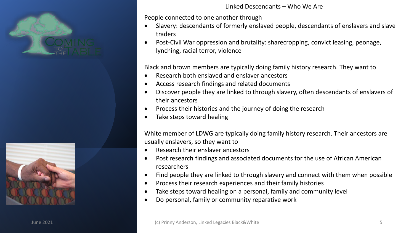



## Linked Descendants – Who We Are

People connected to one another through

- Slavery: descendants of formerly enslaved people, descendants of enslavers and slave traders
- Post-Civil War oppression and brutality: sharecropping, convict leasing, peonage, lynching, racial terror, violence

Black and brown members are typically doing family history research. They want to

- Research both enslaved and enslaver ancestors
- Access research findings and related documents
- Discover people they are linked to through slavery, often descendants of enslavers of their ancestors
- Process their histories and the journey of doing the research
- Take steps toward healing

White member of LDWG are typically doing family history research. Their ancestors are usually enslavers, so they want to

- Research their enslaver ancestors
- Post research findings and associated documents for the use of African American researchers
- Find people they are linked to through slavery and connect with them when possible
- Process their research experiences and their family histories
- Take steps toward healing on a personal, family and community level
- Do personal, family or community reparative work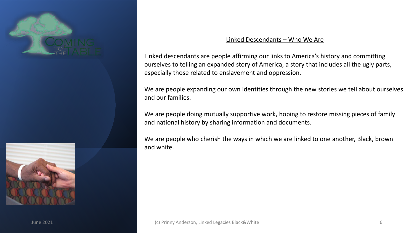



## Linked Descendants – Who We Are

Linked descendants are people affirming our links to America's history and committing ourselves to telling an expanded story of America, a story that includes all the ugly parts, especially those related to enslavement and oppression.

We are people expanding our own identities through the new stories we tell about ourselves and our families.

We are people doing mutually supportive work, hoping to restore missing pieces of family and national history by sharing information and documents.

We are people who cherish the ways in which we are linked to one another, Black, brown and white.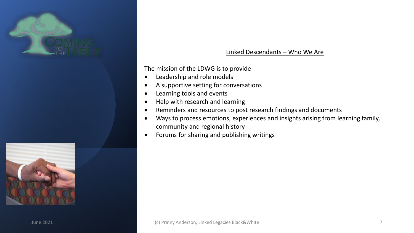



The mission of the LDWG is to provide

- Leadership and role models
- A supportive setting for conversations
- Learning tools and events
- Help with research and learning
- Reminders and resources to post research findings and documents
- Ways to process emotions, experiences and insights arising from learning family, community and regional history
- Forums for sharing and publishing writings

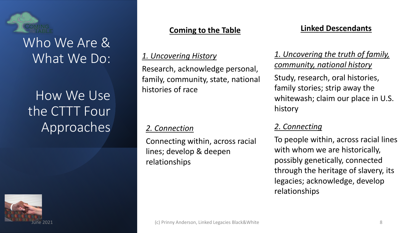

# Who We Are & What We Do:

# How We Use the CTTT Four Approaches



# **Coming to the Table**

# *1. Uncovering History*

Research, acknowledge personal, family, community, state, national histories of race

# *2. Connection*

Connecting within, across racial lines; develop & deepen relationships

# **Linked Descendants**

# *1. Uncovering the truth of family, community, national history*

Study, research, oral histories, family stories; strip away the whitewash; claim our place in U.S. history

# *2. Connecting*

To people within, across racial lines with whom we are historically, possibly genetically, connected through the heritage of slavery, its legacies; acknowledge, develop relationships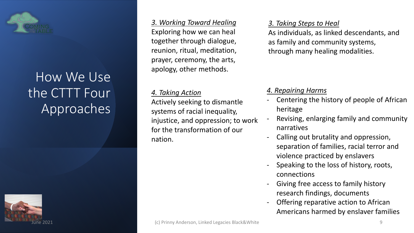

# How We Use the CTTT Four Approaches



*3. Working Toward Healing* Exploring how we can heal together through dialogue, reunion, ritual, meditation, prayer, ceremony, the arts, apology, other methods.

# *4. Taking Action*

Actively seeking to dismantle systems of racial inequality, injustice, and oppression; to work for the transformation of our nation.

*3. Taking Steps to Heal*

As individuals, as linked descendants, and as family and community systems, through many healing modalities.

# *4. Repairing Harms*

- Centering the history of people of African heritage
- Revising, enlarging family and community narratives
- Calling out brutality and oppression, separation of families, racial terror and violence practiced by enslavers
- Speaking to the loss of history, roots, connections
- Giving free access to family history research findings, documents
- Offering reparative action to African Americans harmed by enslaver families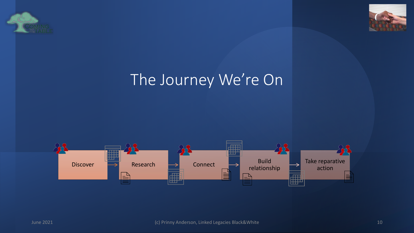



# The Journey We're On

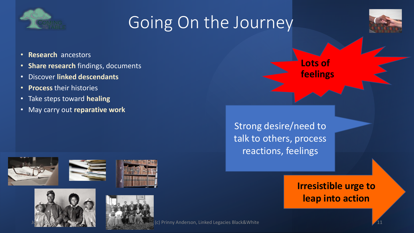

# Going On the Journey



- **Research** ancestors
- **Share research** findings, documents
- Discover **linked descendants**
- **Process** their histories
- Take steps toward **healing**
- May carry out **reparative work**



Strong desire/need to talk to others, process reactions, feelings

> **Irresistible urge to leap into action**





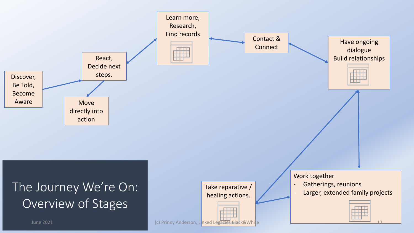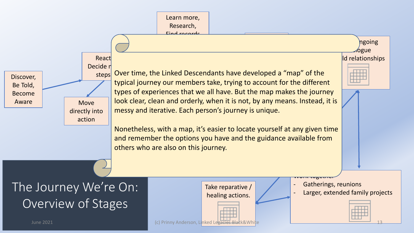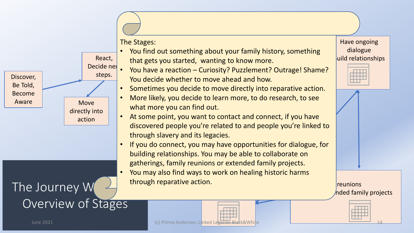

The Stages:

le chiete. • You find out something about your family history, something that gets you started, wanting to know more.

Find records

- You have a reaction Curiosity? Puzzlement? Outrage! Shame? You decide whether to move ahead and how.
- Sometimes you decide to move directly into reparative action.
- More likely, you decide to learn more, to do research, to see what more you can find out.
- At some point, you want to contact and connect, if you have discovered people you're related to and people you're linked to through slavery and its legacies.
- If you do connect, you may have opportunities for dialogue, for building relationships. You may be able to collaborate on gatherings, family reunions or extended family projects.
- You may also find ways to work on healing historic harms The Journey We're Chronicle actions of the Chronicle Control of the Metamily projects Take reparative / through reparative action.

Have ongoing dialogue uild relationships





Overview of Stages

June 2021 (c) Prinny Anderson, Linked Legacies Black&White 14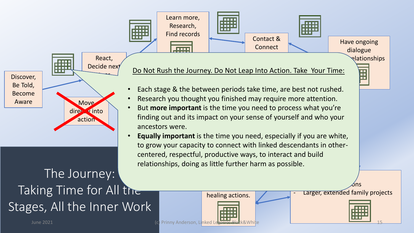



# The Journey: Taking Time for All the Stages, All the Inner Work

Do Not Rush the Journey. Do Not Leap Into Action. Take Your Time:

- Each stage & the between periods take time, are best not rushed.
- Research you thought you finished may require more attention.
- But **more important** is the time you need to process what you're finding out and its impact on your sense of yourself and who your ancestors were.
- **Equally important** is the time you need, especially if you are white, to grow your capacity to connect with linked descendants in othercentered, respectful, productive ways, to interact and build relationships, doing as little further harm as possible.

healing actions.

Larger, extended family projects

- Gatherings, reunions



 $\blacksquare$ 

June 2021 (c) Prinny Anderson, Linked Legacies Black&White 15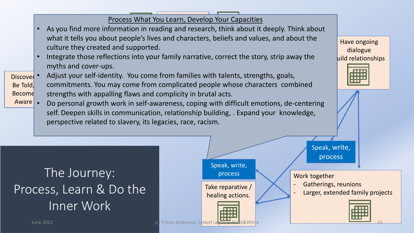Process What You Learn, Develop Your Capacities

- As you find more information in reading and research, think about it deeply. Think about Find also record what it tells you about people's lives and characters, beliefs and values, and about the culture they created and supported.
- reflec myths and cover-ups. Speak, write, • Integrate those reflections into your family narrative, correct the story, strip away the
- Discover . Be Told, Become -ident  $p_{\text{scale}}$ • Adjust your self-identity. You come from families with talents, strengths, goals, commitments. You may come from complicated people whose characters combined strengths with appalling flaws and complicity in brutal acts.
- Aware . • Do personal growth work in self-awareness, coping with difficult emotions, de-centering self. Deepen skills in communication, relationship building, . Expand your knowledge, perspective related to slavery, its legacies, race, racism.

Have ongoing dialogue uild relationships



# The Journey: Process, Learn & Do the Inner Work



June 2021 (c) Prinny Anderson, Linked Legacies Black&White 16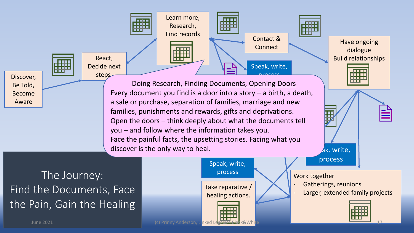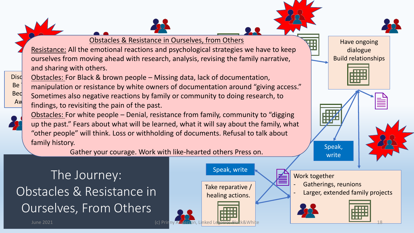

Obstacles & Resistance in Ourselves, from Others

Resistance: All the emotional reactions and psychological strategies we have to keep ourselves from moving ahead with research, analysis, revising the family narrative, and sharing with others.

Disd Be **Bed** Aw 8. hro Obstacles: For Black & brown people – Missing data, lack of documentation, manipulation or resistance by white owners of documentation around "giving access." Sometimes also negative reactions by family or community to doing research, to findings, to revisiting the pain of the past.

Obstacles: For white people – Denial, resistance from family, community to "digging up the past." Fears about what will be learned, what it will say about the family, what "other people" will think. Loss or withholding of documents. Refusal to talk about family history.

Gather your courage. Work with like-hearted others Press on.

The Journey: Obstacles & Resistance in Ourselves, From Others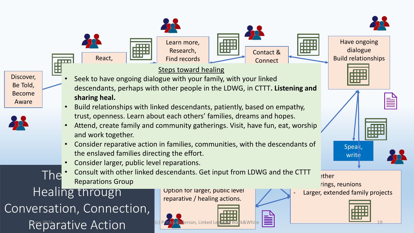

Discover, Be Told, Become Aware

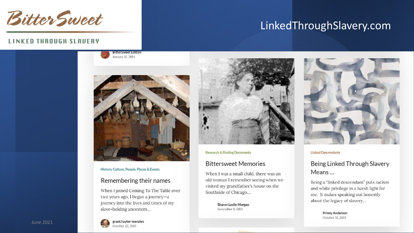

# LinkedThroughSlavery.com

## **LINKED THROUGH SLAUERY**

**BitterSweet Editors** January 12, 2014



### History, Culture, People, Places & Events

### Remembering their names

When I joined Coming To The Table over two years ago, I began a journey-a journey into the lives and times of my slave-holding ancestors...



### **Research & Finding Documents**

### **Bittersweet Memories**

When I was a small child, there was an old woman I remember seeing when we visited my grandfather's house on the Southside of Chicago....

> Sharon Leslie Morgan November 9, 2013



#### **Linked Descendants**

# Being Linked Through Slavery Means ...

Being a "linked descendant" puts racism and white privilege in a harsh light for me. It makes speaking out honestly about the legacy of slavery...

> **Prinny Anderson** October 31, 2013

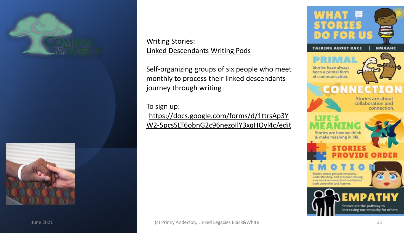



Writing Stories: Linked Descendants Writing Pods

Self-organizing groups of six people who meet monthly to process their linked descendants journey through writing

To sign up: : https://docs.google.com/forms/d/1ttrsAp3Y [W2-5pcsSLT6obnG2c96nezoIlY3xqHOyl4c/edit](https://docs.google.com/forms/d/1ttrsAp3YW2-5pcsSLT6obnG2c96nezoIlY3xqHOyl4c/edit)

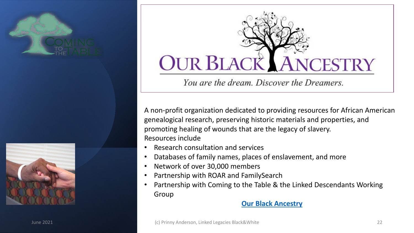





You are the dream. Discover the Dreamers.

A non-profit organization dedicated to providing resources for African American genealogical research, preserving historic materials and properties, and promoting healing of wounds that are the legacy of slavery. Resources include

- Research consultation and services
- Databases of family names, places of enslavement, and more
- Network of over 30,000 members
- Partnership with ROAR and FamilySearch
- Partnership with Coming to the Table & the Linked Descendants Working Group

# **[Our Black Ancestry](https://ourblackancestry.com/)**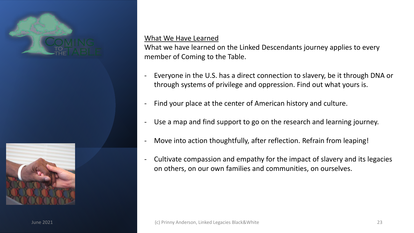



## What We Have Learned

What we have learned on the Linked Descendants journey applies to every member of Coming to the Table.

- Everyone in the U.S. has a direct connection to slavery, be it through DNA or through systems of privilege and oppression. Find out what yours is.
- Find your place at the center of American history and culture.
- Use a map and find support to go on the research and learning journey.
- Move into action thoughtfully, after reflection. Refrain from leaping!
- Cultivate compassion and empathy for the impact of slavery and its legacies on others, on our own families and communities, on ourselves.